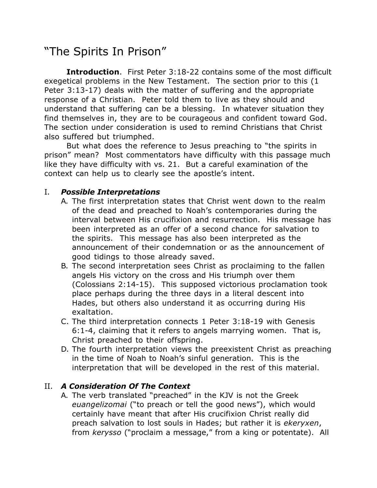## "The Spirits In Prison"

**Introduction**. First Peter 3:18-22 contains some of the most difficult exegetical problems in the New Testament. The section prior to this (1 Peter 3:13-17) deals with the matter of suffering and the appropriate response of a Christian. Peter told them to live as they should and understand that suffering can be a blessing. In whatever situation they find themselves in, they are to be courageous and confident toward God. The section under consideration is used to remind Christians that Christ also suffered but triumphed.

But what does the reference to Jesus preaching to "the spirits in prison" mean? Most commentators have difficulty with this passage much like they have difficulty with vs. 21. But a careful examination of the context can help us to clearly see the apostle's intent.

## I. *Possible Interpretations*

- A. The first interpretation states that Christ went down to the realm of the dead and preached to Noah's contemporaries during the interval between His crucifixion and resurrection. His message has been interpreted as an offer of a second chance for salvation to the spirits. This message has also been interpreted as the announcement of their condemnation or as the announcement of good tidings to those already saved.
- B. The second interpretation sees Christ as proclaiming to the fallen angels His victory on the cross and His triumph over them (Colossians 2:14-15). This supposed victorious proclamation took place perhaps during the three days in a literal descent into Hades, but others also understand it as occurring during His exaltation.
- C. The third interpretation connects 1 Peter 3:18-19 with Genesis 6:1-4, claiming that it refers to angels marrying women. That is, Christ preached to their offspring.
- D. The fourth interpretation views the preexistent Christ as preaching in the time of Noah to Noah's sinful generation. This is the interpretation that will be developed in the rest of this material.

## II. *A Consideration Of The Context*

A. The verb translated "preached" in the KJV is not the Greek *euangelizomai* ("to preach or tell the good news"), which would certainly have meant that after His crucifixion Christ really did preach salvation to lost souls in Hades; but rather it is *ekeryxen*, from *kerysso* ("proclaim a message," from a king or potentate). All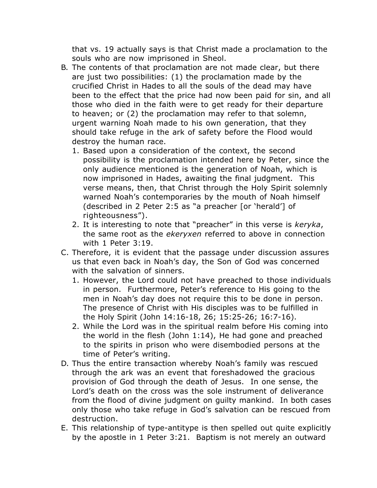that vs. 19 actually says is that Christ made a proclamation to the souls who are now imprisoned in Sheol.

- B. The contents of that proclamation are not made clear, but there are just two possibilities: (1) the proclamation made by the crucified Christ in Hades to all the souls of the dead may have been to the effect that the price had now been paid for sin, and all those who died in the faith were to get ready for their departure to heaven; or (2) the proclamation may refer to that solemn, urgent warning Noah made to his own generation, that they should take refuge in the ark of safety before the Flood would destroy the human race.
	- 1. Based upon a consideration of the context, the second possibility is the proclamation intended here by Peter, since the only audience mentioned is the generation of Noah, which is now imprisoned in Hades, awaiting the final judgment. This verse means, then, that Christ through the Holy Spirit solemnly warned Noah's contemporaries by the mouth of Noah himself (described in 2 Peter 2:5 as "a preacher [or 'herald'] of righteousness").
	- 2. It is interesting to note that "preacher" in this verse is *keryka*, the same root as the *ekeryxen* referred to above in connection with 1 Peter 3:19.
- C. Therefore, it is evident that the passage under discussion assures us that even back in Noah's day, the Son of God was concerned with the salvation of sinners.
	- 1. However, the Lord could not have preached to those individuals in person. Furthermore, Peter's reference to His going to the men in Noah's day does not require this to be done in person. The presence of Christ with His disciples was to be fulfilled in the Holy Spirit (John 14:16-18, 26; 15:25-26; 16:7-16).
	- 2. While the Lord was in the spiritual realm before His coming into the world in the flesh (John 1:14), He had gone and preached to the spirits in prison who were disembodied persons at the time of Peter's writing.
- D. Thus the entire transaction whereby Noah's family was rescued through the ark was an event that foreshadowed the gracious provision of God through the death of Jesus. In one sense, the Lord's death on the cross was the sole instrument of deliverance from the flood of divine judgment on guilty mankind. In both cases only those who take refuge in God's salvation can be rescued from destruction.
- E. This relationship of type-antitype is then spelled out quite explicitly by the apostle in 1 Peter 3:21. Baptism is not merely an outward